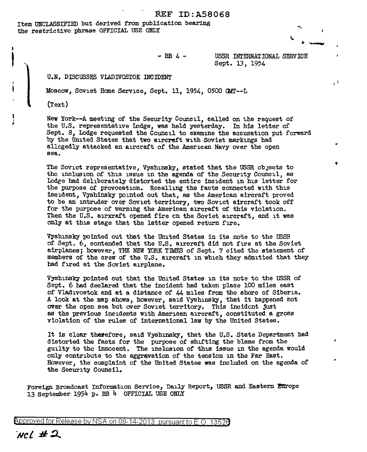Item UNCLASSIFIED but derived from publication bearing *the* restrictive phrase OFFICIAL USE ONLY



I I

"'

 $-$  BB  $\lambda$   $-$ 

USSR INTERNATIONAL SERVICE Sept. 13, 1954

U.N. DISCUSSES VLADIVOSTOK INCIDENT

Moscow, Soviet Home Service, Sept. 11, 1954, 0500 GMT--L

(Text)

 $\frac{1}{2}$ p

New York--A meeting of the Security Council, called on the request of the U.S. representative lodge, was held yesterday. In his letter of Sept. 8, Lodge requested the Council to examine the accusation put forward by the United States that two aircreft with Soviet markings had allegedly attacked an aircraft of the American Navy over the open sea.

The Soviet representative, Vyshinsky, stated that the USSR objects to the inclusion of this issue in the agenda of the Security Council, as Lodge had deliberately distorted the entire incident in his letter for the purpose of provocation. Recalling the facts connected with this incident, Vyshinsky pointed out that, as the American aircraft proved to be an intruder over Soviet territory, two Soviet aircraft took off for the purpose of warning the American aircraft or this violation. Then the U.S. airxraft opened fire on the Soviet aircraft, and it was only at this stage that the latter opened return fire.

Vyshinsky pointed out that the United States in its note to the USSR of Sept.  $6$ , contended that the U.S. arroraft did not fire at the Soviet airplanes; however, THE NEW YORK TIMES of Sept. 7 cited the statement of members of the crew of the U.S. aircraft in which they admitted that they had fired at the Soviet airplane.

Vyshinsky pointed out that the United States in its note to the USSR of Sept. 6 had declared that the incident had taken place 100 miles east of Vladivostok and at a distance of 44 miles from the shore of Siberia. A look at the map shows, however, said Vyshinsky, that it happened not over the open sea but over Soviet territory. This incident just as the previous incidents with American aircraft, constituted a gross violation of the rules of international law by the United States.

It is clear therefore, said Vyshinsky, that the U.S. State Department had distorted the facts for the purpose of shifting the blame from the guilty to the innocent. The inclusion of this issue in the agenda would only contribute to the aggravation or the tension in the Far East. However, the complaint of the United States was included on the agenda of the Security Council.

Foreign Broadcast Information Service, Daily Report, USSR and Eastern Europe 13 September 1954 p. BB 4 OFFICIAL USE ONLY